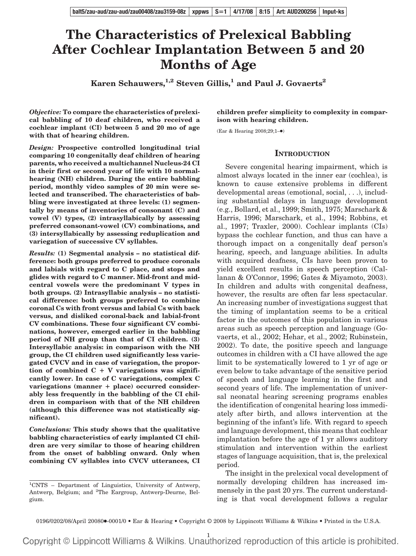# **The Characteristics of Prelexical Babbling After Cochlear Implantation Between 5 and 20 Months of Age**

**Karen Schauwers,1,2 Steven Gillis,1 and Paul J. Govaerts2**

*Objective:* **To compare the characteristics of prelexical babbling of 10 deaf children, who received a cochlear implant (CI) between 5 and 20 mo of age with that of hearing children.**

*Design:* **Prospective controlled longitudinal trial comparing 10 congenitally deaf children of hearing parents, who received a multichannel Nucleus-24 CI in their first or second year of life with 10 normalhearing (NH) children. During the entire babbling period, monthly video samples of 20 min were selected and transcribed. The characteristics of babbling were investigated at three levels: (1) segmentally by means of inventories of consonant (C) and vowel (V) types, (2) intrasyllabically by assessing preferred consonant-vowel (CV) combinations, and (3) intersyllabically by assessing reduplication and variegation of successive CV syllables.**

*Results:* **(1) Segmental analysis – no statistical difference: both groups preferred to produce coronals and labials with regard to C place, and stops and glides with regard to C manner. Mid-front and midcentral vowels were the predominant V types in both groups. (2) Intrasyllabic analysis – no statistical difference: both groups preferred to combine coronal Cs with front versus and labial Cs with back versus, and disliked coronal-back and labial-front CV combinations. These four significant CV combinations, however, emerged earlier in the babbling period of NH group than that of CI children. (3) Intersyllabic analysis: in comparison with the NH group, the CI children used significantly less variegated CVCV and in case of variegation, the proportion of combined C V variegations was significantly lower. In case of C variegations, complex C** variegations (manner + place) occurred consider**ably less frequently in the babbling of the CI children in comparison with that of the NH children (although this difference was not statistically significant).**

*Conclusions:* **This study shows that the qualitative babbling characteristics of early implanted CI children are very similar to those of hearing children from the onset of babbling onward. Only when combining CV syllables into CVCV utterances, CI**

**children prefer simplicity to complexity in comparison with hearing children.**

(Ear & Hearing 2008;29;1–●)

# **INTRODUCTION**

Severe congenital hearing impairment, which is almost always located in the inner ear (cochlea), is known to cause extensive problems in different developmental areas (emotional, social, . . .), including substantial delays in language development (e.g., Bollard, et al., 1999; Smith, 1975; Marschark & Harris, 1996; Marschark, et al., 1994; Robbins, et al., 1997; Traxler, 2000). Cochlear implants (CIs) bypass the cochlear function, and thus can have a thorough impact on a congenitally deaf person's hearing, speech, and language abilities. In adults with acquired deafness, CIs have been proven to yield excellent results in speech perception (Callanan & O'Connor, 1996; Gates & Miyamoto, 2003). In children and adults with congenital deafness, however, the results are often far less spectacular. An increasing number of investigations suggest that the timing of implantation seems to be a critical factor in the outcomes of this population in various areas such as speech perception and language (Govaerts, et al., 2002; Hehar, et al., 2002; Rubinstein, 2002). To date, the positive speech and language outcomes in children with a CI have allowed the age limit to be systematically lowered to 1 yr of age or even below to take advantage of the sensitive period of speech and language learning in the first and second years of life. The implementation of universal neonatal hearing screening programs enables the identification of congenital hearing loss immediately after birth, and allows intervention at the beginning of the infant's life. With regard to speech and language development, this means that cochlear implantation before the age of 1 yr allows auditory stimulation and intervention within the earliest stages of language acquisition, that is, the prelexical period.

The insight in the prelexical vocal development of normally developing children has increased immensely in the past 20 yrs. The current understanding is that vocal development follows a regular

<sup>&</sup>lt;sup>1</sup>CNTS - Department of Linguistics, University of Antwerp, Antwerp, Belgium; and <sup>2</sup>The Eargroup, Antwerp-Deurne, Belgium.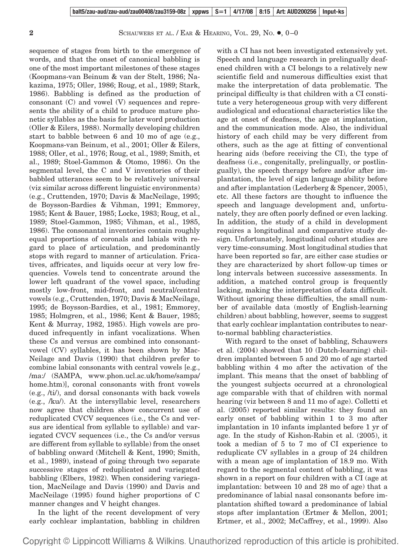sequence of stages from birth to the emergence of words, and that the onset of canonical babbling is one of the most important milestones of these stages (Koopmans-van Beinum & van der Stelt, 1986; Nakazima, 1975; Oller, 1986; Roug, et al., 1989; Stark, 1986). Babbling is defined as the production of consonant (C) and vowel (V) sequences and represents the ability of a child to produce mature phonetic syllables as the basis for later word production (Oller & Eilers, 1988). Normally developing children start to babble between 6 and 10 mo of age (e.g., Koopmans-van Beinum, et al., 2001; Oller & Eilers, 1988; Oller, et al., 1976; Roug, et al., 1989; Smith, et al., 1989; Stoel-Gammon & Otomo, 1986). On the segmental level, the C and V inventories of their babbled utterances seem to be relatively universal (viz similar across different linguistic environments) (e.g., Cruttenden, 1970; Davis & MacNeilage, 1995; de Boysson-Bardies & Vihman, 1991; Emmorey, 1985; Kent & Bauer, 1985; Locke, 1983; Roug, et al., 1989; Stoel-Gammon, 1985; Vihman, et al., 1985, 1986). The consonantal inventories contain roughly equal proportions of coronals and labials with regard to place of articulation, and predominantly stops with regard to manner of articulation. Fricatives, affricates, and liquids occur at very low frequencies. Vowels tend to concentrate around the lower left quadrant of the vowel space, including mostly low-front, mid-front, and neutral/central vowels (e.g., Cruttenden, 1970; Davis & MacNeilage, 1995; de Boysson-Bardies, et al., 1981; Emmorey, 1985; Holmgren, et al., 1986; Kent & Bauer, 1985; Kent & Murray, 1982, 1985). High vowels are produced infrequently in infant vocalizations. When these Cs and versus are combined into consonantvowel (CV) syllables, it has been shown by Mac-Neilage and Davis (1990) that children prefer to combine labial consonants with central vowels [e.g., /ma:/ (SAMPA, www.phon.ucl.ac.uk/home/sampa/ home.htm)], coronal consonants with front vowels (e.g., /ti/), and dorsal consonants with back vowels (e.g., /ku/). At the intersyllabic level, researchers now agree that children show concurrent use of reduplicated CVCV sequences (i.e., the Cs and versus are identical from syllable to syllable) and variegated CVCV sequences (i.e., the Cs and/or versus are different from syllable to syllable) from the onset of babbling onward (Mitchell & Kent, 1990; Smith, et al., 1989), instead of going through two separate successive stages of reduplicated and variegated babbling (Elbers, 1982). When considering variegation, MacNeilage and Davis (1990) and Davis and MacNeilage (1995) found higher proportions of C manner changes and V height changes.

In the light of the recent development of very early cochlear implantation, babbling in children with a CI has not been investigated extensively yet. Speech and language research in prelingually deafened children with a CI belongs to a relatively new scientific field and numerous difficulties exist that make the interpretation of data problematic. The principal difficulty is that children with a CI constitute a very heterogeneous group with very different audiological and educational characteristics like the age at onset of deafness, the age at implantation, and the communication mode. Also, the individual history of each child may be very different from others, such as the age at fitting of conventional hearing aids (before receiving the CI), the type of deafness (i.e., congenitally, prelingually, or postlingually), the speech therapy before and/or after implantation, the level of sign language ability before and after implantation (Lederberg & Spencer, 2005), etc. All these factors are thought to influence the speech and language development and, unfortunately, they are often poorly defined or even lacking. In addition, the study of a child in development requires a longitudinal and comparative study design. Unfortunately, longitudinal cohort studies are very time-consuming. Most longitudinal studies that have been reported so far, are either case studies or they are characterized by short follow-up times or long intervals between successive assessments. In addition, a matched control group is frequently lacking, making the interpretation of data difficult. Without ignoring these difficulties, the small number of available data (mostly of English-learning children) about babbling, however, seems to suggest that early cochlear implantation contributes to nearto-normal babbling characteristics.

With regard to the onset of babbling, Schauwers et al. (2004) showed that 10 (Dutch-learning) children implanted between 5 and 20 mo of age started babbling within 4 mo after the activation of the implant. This means that the onset of babbling of the youngest subjects occurred at a chronological age comparable with that of children with normal hearing (viz between 8 and 11 mo of age). Colletti et al. (2005) reported similar results: they found an early onset of babbling within 1 to 3 mo after implantation in 10 infants implanted before 1 yr of age. In the study of Kishon-Rabin et al. (2005), it took a median of 5 to 7 mo of CI experience to reduplicate CV syllables in a group of 24 children with a mean age of implantation of 18.9 mo. With regard to the segmental content of babbling, it was shown in a report on four children with a CI (age at implantation: between 10 and 28 mo of age) that a predominance of labial nasal consonants before implantation shifted toward a predominance of labial stops after implantation (Ertmer & Mellon, 2001; Ertmer, et al., 2002; McCaffrey, et al., 1999). Also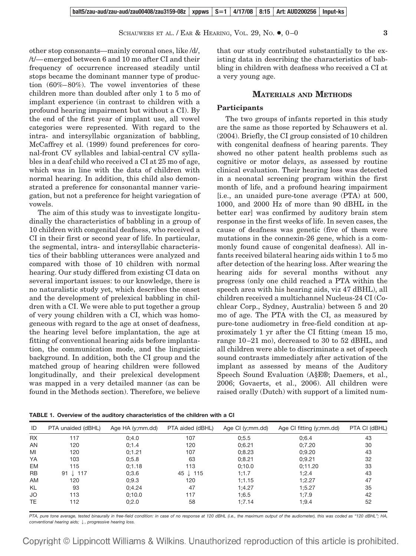other stop consonants—mainly coronal ones, like /d/, /t/— emerged between 6 and 10 mo after CI and their frequency of occurrence increased steadily until stops became the dominant manner type of production (60%– 80%). The vowel inventories of these children more than doubled after only 1 to 5 mo of implant experience (in contrast to children with a profound hearing impairment but without a CI). By the end of the first year of implant use, all vowel categories were represented. With regard to the intra- and intersyllabic organization of babbling, McCaffrey et al. (1999) found preferences for coronal-front CV syllables and labial-central CV syllables in a deaf child who received a CI at 25 mo of age, which was in line with the data of children with normal hearing. In addition, this child also demonstrated a preference for consonantal manner variegation, but not a preference for height variegation of vowels.

The aim of this study was to investigate longitudinally the characteristics of babbling in a group of 10 children with congenital deafness, who received a CI in their first or second year of life. In particular, the segmental, intra- and intersyllabic characteristics of their babbling utterances were analyzed and compared with those of 10 children with normal hearing. Our study differed from existing CI data on several important issues: to our knowledge, there is no naturalistic study yet, which describes the onset and the development of prelexical babbling in children with a CI. We were able to put together a group of very young children with a CI, which was homogeneous with regard to the age at onset of deafness, the hearing level before implantation, the age at fitting of conventional hearing aids before implantation, the communication mode, and the linguistic background. In addition, both the CI group and the matched group of hearing children were followed longitudinally, and their prelexical development was mapped in a very detailed manner (as can be found in the Methods section). Therefore, we believe

that our study contributed substantially to the existing data in describing the characteristics of babbling in children with deafness who received a CI at a very young age.

# **MATERIALS AND METHODS**

# **Participants**

The two groups of infants reported in this study are the same as those reported by Schauwers et al. (2004). Briefly, the CI group consisted of 10 children with congenital deafness of hearing parents. They showed no other patent health problems such as cognitive or motor delays, as assessed by routine clinical evaluation. Their hearing loss was detected in a neonatal screening program within the first month of life, and a profound hearing impairment [i.e., an unaided pure-tone average (PTA) at 500, 1000, and 2000 Hz of more than 90 dBHL in the better ear] was confirmed by auditory brain stem response in the first weeks of life. In seven cases, the cause of deafness was genetic (five of them were mutations in the connexin-26 gene, which is a commonly found cause of congenital deafness). All infants received bilateral hearing aids within 1 to 5 mo after detection of the hearing loss. After wearing the hearing aids for several months without any progress (only one child reached a PTA within the speech area with his hearing aids, viz 47 dBHL), all children received a multichannel Nucleus-24 CI (Cochlear Corp., Sydney, Australia) between 5 and 20 mo of age. The PTA with the CI, as measured by pure-tone audiometry in free-field condition at approximately 1 yr after the CI fitting (mean 15 mo, range 10 –21 mo), decreased to 30 to 52 dBHL, and all children were able to discriminate a set of speech sound contrasts immediately after activation of the implant as assessed by means of the Auditory Speech Sound Evaluation (A§E®; Daemers, et al., 2006; Govaerts, et al., 2006). All children were raised orally (Dutch) with support of a limited num-

**TABLE 1. Overview of the auditory characteristics of the children with a CI**

| ID        | PTA unaided (dBHL)  | Age HA (y;mm.dd) | PTA aided (dBHL) | Age CI (y;mm.dd) | Age CI fitting (y;mm.dd) | PTA CI (dBHL) |
|-----------|---------------------|------------------|------------------|------------------|--------------------------|---------------|
| <b>RX</b> | 117                 | 0:4.0            | 107              | 0:5.5            | 0:6.4                    | 43            |
| AN        | 120                 | 0:1.4            | 120              | 0:6.21           | 0:7.20                   | 30            |
| MI        | 120                 | 0:1.21           | 107              | 0:8.23           | 0:9.20                   | 43            |
| YA        | 103                 | 0:5.8            | 63               | 0:8.21           | 0:9.21                   | 32            |
| EM        | 115                 | 0:1.18           | 113              | 0:10.0           | 0:11.20                  | 33            |
| <b>RB</b> | 91 $\downarrow$ 117 | 0:3.6            | 45 ↓ 115         | 1:1.7            | 1:2.4                    | 43            |
| AM        | 120                 | 0:9.3            | 120              | 1:1.15           | 1:2.27                   | 47            |
| KL        | 93                  | 0:4.24           | 47               | 1:4.27           | 1:5.27                   | 35            |
| JO.       | 113                 | 0:10.0           | 117              | 1:6.5            | 1:7.9                    | 42            |
| TE        | 112                 | 0:2.0            | 58               | 1:7.14           | 1:9.4                    | 52            |

*PTA, pure tone average, tested binaurally in free-field condition: in case of no response at 120 dBHL (i.e., the maximum output of the audiometer), this was coded as "120 dBHL"; HA, conventional hearing aids;* 2*, progressive hearing loss.*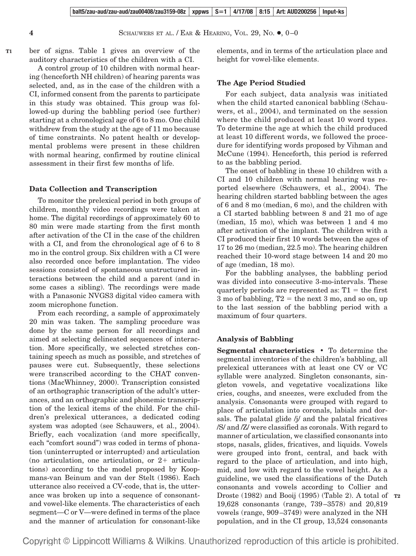ber of signs. Table 1 gives an overview of the auditory characteristics of the children with a CI.

A control group of 10 children with normal hearing (henceforth NH children) of hearing parents was selected, and, as in the case of the children with a CI, informed consent from the parents to participate in this study was obtained. This group was followed-up during the babbling period (see further) starting at a chronological age of 6 to 8 mo. One child withdrew from the study at the age of 11 mo because of time constraints. No patent health or developmental problems were present in these children with normal hearing, confirmed by routine clinical assessment in their first few months of life.

### **Data Collection and Transcription**

To monitor the prelexical period in both groups of children, monthly video recordings were taken at home. The digital recordings of approximately 60 to 80 min were made starting from the first month after activation of the CI in the case of the children with a CI, and from the chronological age of 6 to 8 mo in the control group. Six children with a CI were also recorded once before implantation. The video sessions consisted of spontaneous unstructured interactions between the child and a parent (and in some cases a sibling). The recordings were made with a Panasonic NVGS3 digital video camera with zoom microphone function.

From each recording, a sample of approximately 20 min was taken. The sampling procedure was done by the same person for all recordings and aimed at selecting delineated sequences of interaction. More specifically, we selected stretches containing speech as much as possible, and stretches of pauses were cut. Subsequently, these selections were transcribed according to the CHAT conventions (MacWhinney, 2000). Transcription consisted of an orthographic transcription of the adult's utterances, and an orthographic and phonemic transcription of the lexical items of the child. For the children's prelexical utterances, a dedicated coding system was adopted (see Schauwers, et al., 2004). Briefly, each vocalization (and more specifically, each "comfort sound") was coded in terms of phonation (uninterrupted or interrupted) and articulation (no articulation, one articulation, or  $2+$  articulations) according to the model proposed by Koopmans-van Beinum and van der Stelt (1986). Each utterance also received a CV-code, that is, the utterance was broken up into a sequence of consonantand vowel-like elements. The characteristics of each segment—C or V—were defined in terms of the place and the manner of articulation for consonant-like

elements, and in terms of the articulation place and height for vowel-like elements.

### **The Age Period Studied**

For each subject, data analysis was initiated when the child started canonical babbling (Schauwers, et al., 2004), and terminated on the session where the child produced at least 10 word types. To determine the age at which the child produced at least 10 different words, we followed the procedure for identifying words proposed by Vihman and McCune (1994). Henceforth, this period is referred to as the babbling period.

The onset of babbling in these 10 children with a CI and 10 children with normal hearing was reported elsewhere (Schauwers, et al., 2004). The hearing children started babbling between the ages of 6 and 8 mo (median, 6 mo), and the children with a CI started babbling between 8 and 21 mo of age (median, 15 mo), which was between 1 and 4 mo after activation of the implant. The children with a CI produced their first 10 words between the ages of 17 to 26 mo (median, 22.5 mo). The hearing children reached their 10-word stage between 14 and 20 mo of age (median, 18 mo).

For the babbling analyses, the babbling period was divided into consecutive 3-mo-intervals. These quarterly periods are represented as:  $T1 =$  the first  $3 \text{ mo of babbling}, \text{T2} = \text{the next } 3 \text{ mo}, \text{ and so on}, \text{ up}$ to the last session of the babbling period with a maximum of four quarters.

### **Analysis of Babbling**

**Segmental characteristics** • To determine the segmental inventories of the children's babbling, all prelexical utterances with at least one CV or VC syllable were analyzed. Singleton consonants, singleton vowels, and vegetative vocalizations like cries, coughs, and sneezes, were excluded from the analysis. Consonants were grouped with regard to place of articulation into coronals, labials and dorsals. The palatal glide /j/ and the palatal fricatives /S/ and /Z/ were classified as coronals. With regard to manner of articulation, we classified consonants into stops, nasals, glides, fricatives, and liquids. Vowels were grouped into front, central, and back with regard to the place of articulation, and into high, mid, and low with regard to the vowel height. As a guideline, we used the classifications of the Dutch consonants and vowels according to Collier and Droste (1982) and Booij (1995) (Table 2). A total of **T2**19,628 consonants (range, 739 –3578) and 20,819 vowels (range, 909 –3749) were analyzed in the NH population, and in the CI group, 13,524 consonants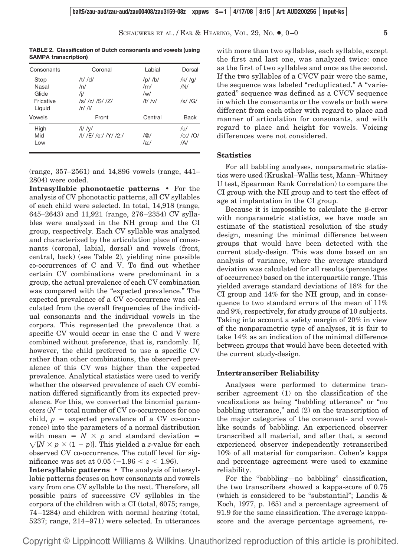**TABLE 2. Classification of Dutch consonants and vowels (using SAMPA transcription)**

| Consonants             | Coronal                          | Labial                          | Dorsal                   |
|------------------------|----------------------------------|---------------------------------|--------------------------|
| Stop<br>Nasal<br>Glide | /t/ /d/<br>/n/<br>/i/            | $\frac{1}{p}$ /b/<br>/m/<br>/w/ | $/k/$ /g/<br>/N/         |
| Fricative<br>Liquid    | /s/ /z/ /S/ /Z/<br>$/r/$ /l/     | /f/ /v/                         | $/x/$ /G/                |
| Vowels                 | Front                            | Central                         | <b>Back</b>              |
| High<br>Mid<br>Low     | /i/ /y/<br>/l/ /E/ /e:/ /Y/ /2:/ | /@/<br>/ai/                     | /u/<br>$/0$ ://0/<br>/A/ |

(range, 357–2561) and 14,896 vowels (range, 441– 2804) were coded.

**Intrasyllabic phonotactic patterns** • For the analysis of CV phonotactic patterns, all CV syllables of each child were selected. In total, 14,918 (range, 645–2643) and 11,921 (range, 276 –2354) CV syllables were analyzed in the NH group and the CI group, respectively. Each CV syllable was analyzed and characterized by the articulation place of consonants (coronal, labial, dorsal) and vowels (front, central, back) (see Table 2), yielding nine possible co-occurrences of C and V. To find out whether certain CV combinations were predominant in a group, the actual prevalence of each CV combination was compared with the "expected prevalence." The expected prevalence of a CV co-occurrence was calculated from the overall frequencies of the individual consonants and the individual vowels in the corpora. This represented the prevalence that a specific CV would occur in case the C and V were combined without preference, that is, randomly. If, however, the child preferred to use a specific CV rather than other combinations, the observed prevalence of this CV was higher than the expected prevalence. Analytical statistics were used to verify whether the observed prevalence of each CV combination differed significantly from its expected prevalence. For this, we converted the binomial param- $\text{eters}$  ( $N = \text{total number of CV co-occurrences}$  for one  $\text{child, } p = \text{expected prevalence of a CV co-occur-}$ rence) into the parameters of a normal distribution with mean  $= N \times p$  and standard deviation  $=$  $\sqrt{[N \times p \times (1 - p)]}$ . This yielded a *z*-value for each observed CV co-occurrence. The cutoff level for significance was set at  $0.05$  ( $-1.96 < z < 1.96$ ).

**Intersyllabic patterns** • The analysis of intersyllabic patterns focuses on how consonants and vowels vary from one CV syllable to the next. Therefore, all possible pairs of successive CV syllables in the corpora of the children with a CI (total, 6075; range, 74 –1284) and children with normal hearing (total, 5237; range, 214 –971) were selected. In utterances with more than two syllables, each syllable, except the first and last one, was analyzed twice: once as the first of two syllables and once as the second. If the two syllables of a CVCV pair were the same, the sequence was labeled "reduplicated." A "variegated" sequence was defined as a CVCV sequence in which the consonants or the vowels or both were different from each other with regard to place and manner of articulation for consonants, and with regard to place and height for vowels. Voicing differences were not considered.

### **Statistics**

For all babbling analyses, nonparametric statistics were used (Kruskal–Wallis test, Mann–Whitney U test, Spearman Rank Correlation) to compare the CI group with the NH group and to test the effect of age at implantation in the CI group.

Because it is impossible to calculate the  $\beta$ -error with nonparametric statistics, we have made an estimate of the statistical resolution of the study design, meaning the minimal difference between groups that would have been detected with the current study-design. This was done based on an analysis of variance, where the average standard deviation was calculated for all results (percentages of occurrence) based on the interquartile range. This yielded average standard deviations of 18% for the CI group and 14% for the NH group, and in consequence to two standard errors of the mean of 11% and 9%, respectively, for study groups of 10 subjects. Taking into account a safety margin of 20% in view of the nonparametric type of analyses, it is fair to take 14% as an indication of the minimal difference between groups that would have been detected with the current study-design.

#### **Intertranscriber Reliability**

Analyses were performed to determine transcriber agreement (1) on the classification of the vocalizations as being "babbling utterance" or "no babbling utterance," and (2) on the transcription of the major categories of the consonant- and vowellike sounds of babbling. An experienced observer transcribed all material, and after that, a second experienced observer independently retranscribed 10% of all material for comparison. Cohen's kappa and percentage agreement were used to examine reliability.

For the "babbling—no babbling" classification, the two transcribers showed a kappa-score of 0.75 (which is considered to be "substantial"; Landis & Koch, 1977, p. 165) and a percentage agreement of 91.9 for the same classification. The average kappascore and the average percentage agreement, re-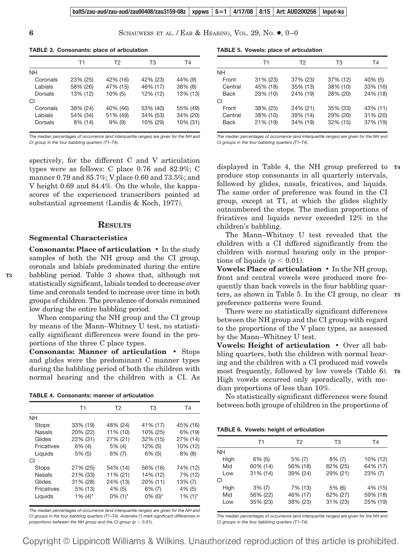|  | <b>TABLE 3. Consonants: place of articulation</b> |  |  |
|--|---------------------------------------------------|--|--|
|--|---------------------------------------------------|--|--|

|           | Т1       | T2        | T3       | T4       |
|-----------|----------|-----------|----------|----------|
| <b>NH</b> |          |           |          |          |
| Coronals  | 23% (25) | 42% (16)  | 42% (23) | 44% (9)  |
| Labials   | 58% (26) | 47% (15)  | 46% (17) | 38% (8)  |
| Dorsals   | 13% (12) | 10% (5)   | 12% (12) | 13% (13) |
| СI        |          |           |          |          |
| Coronals  | 38% (24) | 40% (46)  | 53% (40) | 55% (49) |
| Labials   | 54% (34) | 51% (49)  | 34% (53) | 34% (20) |
| Dorsals   | 8% (14)  | $9\%$ (9) | 10% (29) | 10% (31) |

*The median percentages of occurrence (and interquartile ranges) are given for the NH and CI group in the four babbling quarters (T1–T4).*

spectively, for the different C and V articulation types were as follows: C place 0.76 and 82.9%; C manner 0.79 and 85.7%; V place 0.60 and 73.5%; and V height 0.69 and 84.4%. On the whole, the kappascores of the experienced transcribers pointed at substantial agreement (Landis & Koch, 1977).

# **RESULTS**

# **Segmental Characteristics**

**Consonants: Place of articulation** • In the study samples of both the NH group and the CI group, coronals and labials predominated during the entire babbling period. Table 3 shows that, although not statistically significant, labials tended to decrease over time and coronals tended to increase over time in both groups of children. The prevalence of dorsals remained low during the entire babbling period.

When comparing the NH group and the CI group by means of the Mann–Whitney U test, no statistically significant differences were found in the proportions of the three C place types.

**Consonants: Manner of articulation** • Stops and glides were the predominant C manner types during the babbling period of both the children with normal hearing and the children with a CI. As

**TABLE 4. Consonants: manner of articulation**

|                   | T1                     | T2                     | T3                     | T <sub>4</sub>         |
|-------------------|------------------------|------------------------|------------------------|------------------------|
| <b>NH</b>         |                        |                        |                        |                        |
| <b>Stops</b>      | 33% (19)               | 48% (24)               | 41% (17)               | 45% (16)               |
| <b>Nasals</b>     | 20% (22)               | 11% (10)               | 10% (25)               | 6% (19)                |
| Glides            | 22% (31)               | 27% (21)               | 32% (15)               | 27% (14)               |
| <b>Fricatives</b> | $6\%$ (4)              | 5% (4)                 | 12% (5)                | 10% (12)               |
| Liauids           | $5%$ (5)               | $6\%$ (7)              | $6\%$ (5)              | $8\%$ (8)              |
| CI                |                        |                        |                        |                        |
| <b>Stops</b>      | 27% (25)               | 54% (14)               | 56% (16)               | 74% (12)               |
| <b>Nasals</b>     | 21% (33)               | 11% (21)               | 14% (12)               | 7% (12)                |
| Glides            | 31% (28)               | 24% (13)               | 20% (11)               | 13% (7)                |
| Fricatives        | 5% (13)                | $4\%$ (5)              | $6\%$ (7)              | $4\%$ (5)              |
| Liquids           | $1\%$ (4) <sup>*</sup> | $0\%$ (1) <sup>*</sup> | $0\%$ (0) <sup>*</sup> | $1\%$ (1) <sup>*</sup> |

*The median percentages of occurrence (and interquartile ranges) are given for the NH and CI groups in the four babbling quarters (T1–T4). Asterisks (\*) mark significant differences in proportions between the NH group and the CI group*  $(p < 0.01)$ *.* 

**TABLE 5. Vowels: place of articulation**

|             | T1       | T2       | T3       | T4       |
|-------------|----------|----------|----------|----------|
| NΗ          |          |          |          |          |
| Front       | 31% (23) | 37% (23) | 37% (12) | 40% (5)  |
| Central     | 45% (18) | 35% (13) | 38% (10) | 33% (16) |
| <b>Back</b> | 23% (10) | 24% (19) | 28% (20) | 24% (18) |
| СI          |          |          |          |          |
| Front       | 38% (25) | 24% (21) | 35% (33) | 43% (11) |
| Central     | 38% (10) | 39% (14) | 29% (20) | 31% (20) |
| <b>Back</b> | 21% (19) | 34% (19) | 32% (15) | 37% (19) |
|             |          |          |          |          |

*The median percentages of occurrence (and interquartile ranges) are given for the NH and CI groups in the four babbling quarters (T1–T4).*

displayed in Table 4, the NH group preferred to **T4** produce stop consonants in all quarterly intervals, followed by glides, nasals, fricatives, and liquids. The same order of preference was found in the CI group, except at T1, at which the glides slightly outnumbered the stops. The median proportions of fricatives and liquids never exceeded 12% in the children's babbling.

The Mann–Whitney U test revealed that the children with a CI differed significantly from the children with normal hearing only in the proportions of liquids ( $p < 0.01$ ).

**Vowels: Place of articulation** • In the NH group, front and central vowels were produced more frequently than back vowels in the four babbling quarters, as shown in Table 5. In the CI group, no clear **T5** preference patterns were found.

There were no statistically significant differences between the NH group and the CI group with regard to the proportions of the V place types, as assessed by the Mann–Whitney U test.

**Vowels: Height of articulation** • Over all babbling quarters, both the children with normal hearing and the children with a CI produced mid vowels most frequently, followed by low vowels (Table 6). **T6**High vowels occurred only sporadically, with median proportions of less than 10%.

No statistically significant differences were found between both groups of children in the proportions of

**TABLE 6. Vowels: height of articulation**

|      | T1        | T2       | TЗ        | T4       |
|------|-----------|----------|-----------|----------|
| NΗ   |           |          |           |          |
| High | $6\%$ (5) | 5% (7)   | $8\%$ (7) | 10% (12) |
| Mid  | 60% (14)  | 56% (18) | 62% (25)  | 64% (17) |
| Low  | 31% (14)  | 39% (24) | 29% (21)  | 23% (7)  |
| СI   |           |          |           |          |
| High | $3\%$ (7) | 7% (13)  | 5% (6)    | 4% (15)  |
| Mid  | 56% (22)  | 46% (17) | 62% (27)  | 59% (18) |
| Low  | 35% (23)  | 38% (23) | 31% (23)  | 25% (19) |
|      |           |          |           |          |

*The median percentages of occurrence (and interquartile ranges) are given for the NH and CI groups in the four babbling quarters (T1–T4).*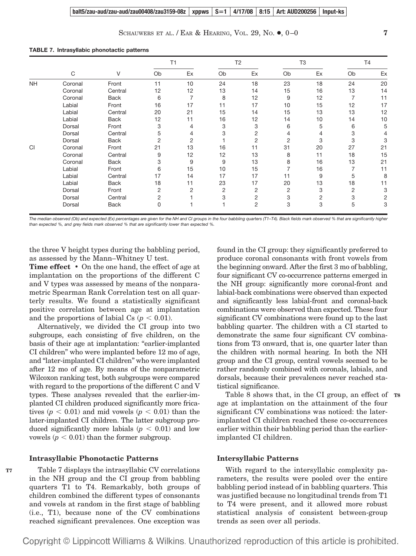|  |  |  | TABLE 7. Intrasyllabic phonotactic patterns |  |  |
|--|--|--|---------------------------------------------|--|--|
|--|--|--|---------------------------------------------|--|--|

|           |         |             | T <sub>1</sub> |                |    | T <sub>2</sub> |    | T <sub>3</sub> |           | T <sub>4</sub> |
|-----------|---------|-------------|----------------|----------------|----|----------------|----|----------------|-----------|----------------|
|           | C       | $\vee$      | Ob             | Ex             | Ob | Ex             | Ob | Ex             | <b>Ob</b> | Ex             |
| <b>NH</b> | Coronal | Front       | 11             | 10             | 24 | 18             | 23 | 18             | 24        | 20             |
|           | Coronal | Central     | 12             | 12             | 13 | 14             | 15 | 16             | 13        | 14             |
|           | Coronal | <b>Back</b> | 6              | $\overline{7}$ | 8  | 12             | 9  | 12             |           | 11             |
|           | Labial  | Front       | 16             | 17             | 11 | 17             | 10 | 15             | 12        | 17             |
|           | Labial  | Central     | 20             | 21             | 15 | 14             | 15 | 13             | 13        | 12             |
|           | Labial  | <b>Back</b> | 12             | 11             | 16 | 12             | 14 | 10             | 14        | 10             |
|           | Dorsal  | Front       | 3              | 4              | 3  | 3              | 6  | 5              | 6         | 5              |
|           | Dorsal  | Central     | 5              | 4              | 3  | 2              | 4  | 4              | 3         |                |
|           | Dorsal  | <b>Back</b> | 2              | 2              |    | 2              | 2  | 3              | 3         | 3              |
| CI        | Coronal | Front       | 21             | 13             | 16 | 11             | 31 | 20             | 27        | 21             |
|           | Coronal | Central     | 9              | 12             | 12 | 13             | 8  | 11             | 18        | 15             |
|           | Coronal | <b>Back</b> | 3              | 9              | 9  | 13             | 8  | 16             | 13        | 21             |
|           | Labial  | Front       | 6              | 15             | 10 | 15             | 7  | 16             |           | 11             |
|           | Labial  | Central     | 17             | 14             | 17 | 17             | 11 | 9              | 5         | 8              |
|           | Labial  | <b>Back</b> | 18             | 11             | 23 | 17             | 20 | 13             | 18        | 11             |
|           | Dorsal  | Front       | $\overline{2}$ | 2              | 2  | 2              | 2  | 3              | 2         | 3              |
|           | Dorsal  | Central     | 2              |                | 3  | 2              | 3  | 2              | 3         | $\overline{2}$ |
|           | Dorsal  | <b>Back</b> | 0              |                |    | 2              | 3  | 3              | 5         | 3              |

The median observed (Ob) and expected (Ex) percentages are given for the NH and CI groups in the four babbling quarters (T1-T4). Black fields mark observed % that are significantly higher *than expected %, and grey fields mark observed % that are significantly lower than expected %.*

the three V height types during the babbling period, as assessed by the Mann–Whitney U test.

**Time effect** • On the one hand, the effect of age at implantation on the proportions of the different C and V types was assessed by means of the nonparametric Spearman Rank Correlation test on all quarterly results. We found a statistically significant positive correlation between age at implantation and the proportions of labial Cs  $(p < 0.01)$ .

Alternatively, we divided the CI group into two subgroups, each consisting of five children, on the basis of their age at implantation: "earlier-implanted CI children" who were implanted before 12 mo of age, and "later-implanted CI children" who were implanted after 12 mo of age. By means of the nonparametric Wilcoxon ranking test, both subgroups were compared with regard to the proportions of the different C and V types. These analyses revealed that the earlier-implanted CI children produced significantly more fricatives  $(p < 0.01)$  and mid vowels  $(p < 0.01)$  than the later-implanted CI children. The latter subgroup produced significantly more labials  $(p < 0.01)$  and low vowels  $(p < 0.01)$  than the former subgroup.

#### **Intrasyllabic Phonotactic Patterns**

Table 7 displays the intrasyllabic CV correlations in the NH group and the CI group from babbling quarters T1 to T4. Remarkably, both groups of children combined the different types of consonants and vowels at random in the first stage of babbling (i.e., T1), because none of the CV combinations reached significant prevalences. One exception was

found in the CI group: they significantly preferred to produce coronal consonants with front vowels from the beginning onward. After the first 3 mo of babbling, four significant CV co-occurrence patterns emerged in the NH group: significantly more coronal-front and labial-back combinations were observed than expected and significantly less labial-front and coronal-back combinations were observed than expected. These four significant CV combinations were found up to the last babbling quarter. The children with a CI started to demonstrate the same four significant CV combinations from T3 onward, that is, one quarter later than the children with normal hearing. In both the NH group and the CI group, central vowels seemed to be rather randomly combined with coronals, labials, and dorsals, because their prevalences never reached statistical significance.

Table 8 shows that, in the CI group, an effect of **T8**age at implantation on the attainment of the four significant CV combinations was noticed: the laterimplanted CI children reached these co-occurrences earlier within their babbling period than the earlierimplanted CI children.

#### **Intersyllabic Patterns**

With regard to the intersyllabic complexity parameters, the results were pooled over the entire babbling period instead of in babbling quarters. This was justified because no longitudinal trends from T1 to T4 were present, and it allowed more robust statistical analysis of consistent between-group trends as seen over all periods.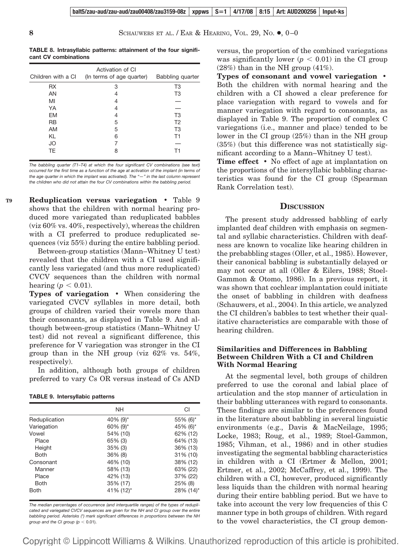**TABLE 8. Intrasyllabic patterns: attainment of the four significant CV combinations**

| Children with a CI | Activation of CI<br>(In terms of age quarter) | Babbling quarter |
|--------------------|-----------------------------------------------|------------------|
| <b>RX</b>          | З                                             | T <sub>3</sub>   |
| AN                 | 4                                             | T3               |
| MI                 |                                               |                  |
| YA                 | 4                                             |                  |
| EM                 | 4                                             | T <sub>3</sub>   |
| <b>RB</b>          | 5                                             | T <sub>2</sub>   |
| AM                 | 5                                             | T <sub>3</sub>   |
| KL                 | 6                                             | T1               |
| JO.                |                                               |                  |
| TE                 | 8                                             | Τ1               |

*The babbling quarter (T1–T4) at which the four significant CV combinations (see text) occurred for the first time as a function of the age at activation of the implant (in terms of the age quarter in which the implant was activated). The "—" in the last column represent the children who did not attain the four CV combinations within the babbling period.*

**Reduplication versus variegation** • Table 9 shows that the children with normal hearing produced more variegated than reduplicated babbles (viz 60% vs. 40%, respectively), whereas the children with a CI preferred to produce reduplicated sequences (viz 55%) during the entire babbling period.

Between-group statistics (Mann–Whitney U test) revealed that the children with a CI used significantly less variegated (and thus more reduplicated) CVCV sequences than the children with normal hearing ( $p < 0.01$ ).

**Types of variegation** • When considering the variegated CVCV syllables in more detail, both groups of children varied their vowels more than their consonants, as displayed in Table 9. And although between-group statistics (Mann–Whitney U test) did not reveal a significant difference, this preference for V variegation was stronger in the CI group than in the NH group (viz 62% vs. 54%, respectively).

In addition, although both groups of children preferred to vary Cs OR versus instead of Cs AND

**TABLE 9. Intersyllabic patterns**

|               | <b>NH</b>  | CI        |
|---------------|------------|-----------|
| Reduplication | 40% (9)*   | 55% (6)*  |
| Variegation   | 60% (9)*   | 45% (6)*  |
| Vowel         | 54% (10)   | 62% (12)  |
| Place         | 65% (3)    | 64% (13)  |
| Height        | $35\%$ (3) | 36% (13)  |
| <b>Both</b>   | $36\%$ (8) | 31% (10)  |
| Consonant     | 46% (10)   | 38% (12)  |
| Manner        | 58% (13)   | 63% (22)  |
| Place         | 42% (13)   | 37% (22)  |
| Both          | 35% (17)   | 25% (8)   |
| Both          | 41% (12)*  | 28% (14)* |
|               |            |           |

*The median percentages of occurrence (and interquartile ranges) of the types of reduplicated and variegated CVCV sequences are given for the NH and CI group over the entire babbling period. Asterisks (\*) mark significant differences in proportions between the NH group and the CI group*  $(p < 0.01)$ *.* 

versus, the proportion of the combined variegations was significantly lower  $(p < 0.01)$  in the CI group  $(28%)$  than in the NH group  $(41%)$ .

**Types of consonant and vowel variegation** • Both the children with normal hearing and the children with a CI showed a clear preference for place variegation with regard to vowels and for manner variegation with regard to consonants, as displayed in Table 9. The proportion of complex C variegations (i.e., manner and place) tended to be lower in the CI group (25%) than in the NH group (35%) (but this difference was not statistically significant according to a Mann–Whitney U test).

**Time effect** • No effect of age at implantation on the proportions of the intersyllabic babbling characteristics was found for the CI group (Spearman Rank Correlation test).

# **DISCUSSION**

The present study addressed babbling of early implanted deaf children with emphasis on segmental and syllabic characteristics. Children with deafness are known to vocalize like hearing children in the prebabbling stages (Oller, et al., 1985). However, their canonical babbling is substantially delayed or may not occur at all (Oller & Eilers, 1988; Stoel-Gammon & Otomo, 1986). In a previous report, it was shown that cochlear implantation could initiate the onset of babbling in children with deafness (Schauwers, et al., 2004). In this article, we analyzed the CI children's babbles to test whether their qualitative characteristics are comparable with those of hearing children.

# **Similarities and Differences in Babbling Between Children With a CI and Children With Normal Hearing**

At the segmental level, both groups of children preferred to use the coronal and labial place of articulation and the stop manner of articulation in their babbling utterances with regard to consonants. These findings are similar to the preferences found in the literature about babbling in several linguistic environments (e.g., Davis & MacNeilage, 1995; Locke, 1983; Roug, et al., 1989; Stoel-Gammon, 1985; Vihman, et al., 1986) and in other studies investigating the segmental babbling characteristics in children with a CI (Ertmer & Mellon, 2001; Ertmer, et al., 2002; McCaffrey, et al., 1999). The children with a CI, however, produced significantly less liquids than the children with normal hearing during their entire babbling period. But we have to take into account the very low frequencies of this C manner type in both groups of children. With regard to the vowel characteristics, the CI group demon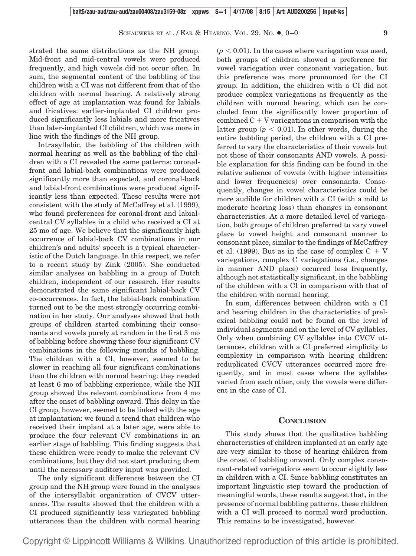strated the same distributions as the NH group. Mid-front and mid-central vowels were produced frequently, and high vowels did not occur often. In sum, the segmental content of the babbling of the children with a CI was not different from that of the children with normal hearing. A relatively strong effect of age at implantation was found for labials and fricatives: earlier-implanted CI children produced significantly less labials and more fricatives than later-implanted CI children, which was more in line with the findings of the NH group.

Intrasyllabic, the babbling of the children with normal hearing as well as the babbling of the children with a CI revealed the same patterns: coronalfront and labial-back combinations were produced significantly more than expected, and coronal-back and labial-front combinations were produced significantly less than expected. These results were not consistent with the study of McCaffrey et al. (1999), who found preferences for coronal-front and labialcentral CV syllables in a child who received a CI at 25 mo of age. We believe that the significantly high occurrence of labial-back CV combinations in our children's and adults' speech is a typical characteristic of the Dutch language. In this respect, we refer to a recent study by Zink (2005). She conducted similar analyses on babbling in a group of Dutch children, independent of our research. Her results demonstrated the same significant labial-back CV co-occurrences. In fact, the labial-back combination turned out to be the most strongly occurring combination in her study. Our analyses showed that both groups of children started combining their consonants and vowels purely at random in the first 3 mo of babbling before showing these four significant CV combinations in the following months of babbling. The children with a CI, however, seemed to be slower in reaching all four significant combinations than the children with normal hearing: they needed at least 6 mo of babbling experience, while the NH group showed the relevant combinations from 4 mo after the onset of babbling onward. This delay in the CI group, however, seemed to be linked with the age at implantation: we found a trend that children who received their implant at a later age, were able to produce the four relevant CV combinations in an earlier stage of babbling. This finding suggests that these children were ready to make the relevant CV combinations, but they did not start producing them until the necessary auditory input was provided.

The only significant differences between the CI group and the NH group were found in the analyses of the intersyllabic organization of CVCV utterances. The results showed that the children with a CI produced significantly less variegated babbling utterances than the children with normal hearing  $(p < 0.01)$ . In the cases where variegation was used, both groups of children showed a preference for vowel variegation over consonant variegation, but this preference was more pronounced for the CI group. In addition, the children with a CI did not produce complex variegations as frequently as the children with normal hearing, which can be concluded from the significantly lower proportion of combined  $C + V$  variegations in comparison with the latter group ( $p < 0.01$ ). In other words, during the entire babbling period, the children with a CI preferred to vary the characteristics of their vowels but not those of their consonants AND vowels. A possible explanation for this finding can be found in the relative salience of vowels (with higher intensities and lower frequencies) over consonants. Consequently, changes in vowel characteristics could be more audible for children with a CI (with a mild to moderate hearing loss) than changes in consonant characteristics. At a more detailed level of variegation, both groups of children preferred to vary vowel place to vowel height and consonant manner to consonant place, similar to the findings of McCaffrey et al. (1999). But as in the case of complex  $C + V$ variegations, complex C variegations (i.e., changes in manner AND place) occurred less frequently, although not statistically significant, in the babbling of the children with a CI in comparison with that of the children with normal hearing.

In sum, differences between children with a CI and hearing children in the characteristics of prelexical babbling could not be found on the level of individual segments and on the level of CV syllables. Only when combining CV syllables into CVCV utterances, children with a CI preferred simplicity to complexity in comparison with hearing children: reduplicated CVCV utterances occurred more frequently, and in most cases where the syllables varied from each other, only the vowels were different in the case of CI.

### **CONCLUSION**

This study shows that the qualitative babbling characteristics of children implanted at an early age are very similar to those of hearing children from the onset of babbling onward. Only complex consonant-related variegations seem to occur slightly less in children with a CI. Since babbling constitutes an important linguistic step toward the production of meaningful words, these results suggest that, in the presence of normal babbling patterns, these children with a CI will proceed to normal word production. This remains to be investigated, however.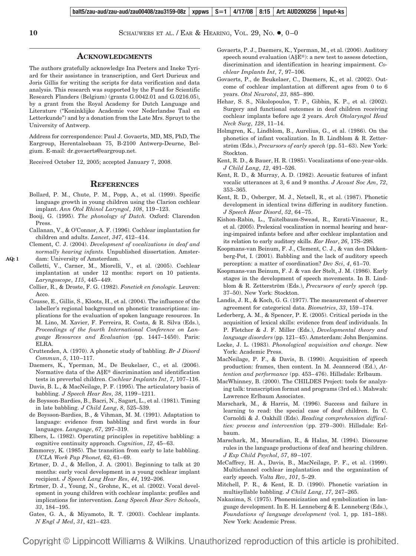### **ACKNOWLEDGMENTS**

The authors gratefully acknowledge Ina Peeters and Ineke Tyriard for their assistance in transcription, and Gert Durieux and Joris Gillis for writing the scripts for data verification and data analysis. This research was supported by the Fund for Scientific Research Flanders (Belgium) (grants G.0042.01 and G.0216.05), by a grant from the Royal Academy for Dutch Language and Literature ("Koninklijke Academie voor Nederlandse Taal en Letterkunde") and by a donation from the Late Mrs. Spruyt to the University of Antwerp.

Address for correspondence: Paul J. Govaerts, MD, MS, PhD, The Eargroup, Herentalsebaan 75, B-2100 Antwerp-Deurne, Belgium. E-mail: dr.govaerts@eargroup.net.

Received October 12, 2005; accepted January 7, 2008.

#### **REFERENCES**

- Bollard, P. M., Chute, P. M., Popp, A., et al. (1999). Specific language growth in young children using the Clarion cochlear implant. *Ann Otol Rhinol Laryngol*, *108*, 119 –123.
- Booij, G. (1995). *The phonology of Dutch.* Oxford: Clarendon Press.
- Callanan, V., & O'Connor, A. F. (1996). Cochlear implantation for children and adults. *Lancet*, *347*, 412– 414.
- Clement, C. J. (2004). *Development of vocalizations in deaf and normally hearing infants.* Unpublished dissertation. Amsterdam: University of Amsterdam.
- Colletti, V., Carner, M., Miorelli, V., et al. (2005). Cochlear implantation at under 12 months: report on 10 patients. *Laryngoscope*, *115*, 445– 449.
- Collier, R., & Droste, F. G. (1982). *Fonetiek en fonologie.* Leuven: Acco.
- Cousse, E., Gillis, S., Kloots, H., et al. (2004). The influence of the labeller's regional background on phonetic transcriptions: implications for the evaluation of spoken language resources. In M. Lino, M. Xavier, F. Ferreira, R. Costa, & R. Silva (Eds.), *Proceedings of the fourth International Conference on Language Resources and Evaluation* (pp. 1447–1450). Paris: ELRA.
- Cruttenden, A. (1970). A phonetic study of babbling. *Br J Disord Commun*, *5*, 110 –117.
- Daemers, K., Yperman, M., De Beukelaer, C., et al. (2006). Normative data of the A $\S E^\circ$  discrimination and identification tests in preverbal children. *Cochlear Implants Int*, *7*, 107–116.
- Davis, B. L., & MacNeilage, P. F. (1995). The articulatory basis of babbling. *J Speech Hear Res*, *38*, 1199 –1211.
- de Boysson-Bardies, B., Bacri, N., Sagart, L., et al. (1981). Timing in late babbling. *J Child Lang*, *8*, 525–539.
- de Boysson-Bardies, B., & Vihman, M. M. (1991). Adaptation to language: evidence from babbling and first words in four languages. *Language*, *67*, 297–319.
- Elbers, L. (1982). Operating principles in repetitive babbling: a cognitive continuity approach. *Cognition*, *12*, 45– 63.
- Emmorey, K. (1985). The transition from early to late babbling. *UCLA Work Pap Phonet,* 62, 61– 69.
- Ertmer, D. J., & Mellon, J. A. (2001). Beginning to talk at 20 months: early vocal development in a young cochlear implant recipient. *J Speech Lang Hear Res*, *44*, 192–206.
- Ertmer, D. J., Young, N., Grohne, K., et al. (2002). Vocal development in young children with cochlear implants: profiles and implications for intervention. *Lang Speech Hear Serv Schools*, *33*, 184 –195.
- Gates, G. A., & Miyamoto, R. T. (2003). Cochlear implants. *N Engl J Med*, *31*, 421– 423.
- Govaerts, P. J., Daemers, K., Yperman, M., et al. (2006). Auditory speech sound evaluation  $(A\S E^{\circledast})$ : a new test to assess detection, discrimination and identification in hearing impairment. *Cochlear Implants Int*, *7*, 97–106.
- Govaerts, P., de Beukelaer, C., Daemers, K., et al. (2002). Outcome of cochlear implantation at different ages from 0 to 6 years. *Otol Neurotol*, *23*, 885– 890.
- Hehar, S. S., Nikolopoulos, T. P., Gibbin, K. P., et al. (2002). Surgery and functional outcomes in deaf children receiving cochlear implants before age 2 years. *Arch Otolaryngol Head Neck Surg*, *128*, 11–14.
- Holmgren, K., Lindblom, B., Aurelius, G., et al. (1986). On the phonetics of infant vocalization. In B. Lindblom & R. Zetterström (Eds.), *Precursors of early speech* (pp. 51–63). New York: Stockton.
- Kent, R. D., & Bauer, H. R. (1985). Vocalizations of one-year-olds. *J Child Lang*, *12*, 491–526.
- Kent, R. D., & Murray, A. D. (1982). Acoustic features of infant vocalic utterances at 3, 6 and 9 months. *J Acoust Soc Am*, *72*, 353–365.
- Kent, R. D., Osberger, M. J., Netsell, R., et al. (1987). Phonetic development in identical twins differing in auditory function. *J Speech Hear Disord*, *52*, 64 –75.
- Kishon-Rabin, L., Taitelbaum-Swead, R., Ezrati-Vinacour, R., et al. (2005). Prelexical vocalization in normal hearing and hearing-impaired infants before and after cochlear implantation and its relation to early auditory skills. *Ear Hear*, *26*, 17S–29S.
- Koopmans-van Beinum, F. J., Clement, C. J., & van den Dikkenberg-Pot, I. (2001). Babbling and the lack of auditory speech perception: a matter of coordination? *Dev Sci*, *4*, 61–70.
- Koopmans-van Beinum, F. J. & van der Stelt, J. M. (1986). Early stages in the development of speech movements. In B. Lindblom & R. Zetterström (Eds.), *Precursors of early speech* (pp. 37–50). New York: Stockton.
- Landis, J. R., & Koch, G. G. (1977). The measurement of observer agreement for categorical data. *Biometrics*, *33*, 159 –174.
- Lederberg, A. M., & Spencer, P. E. (2005). Critical periods in the acquisition of lexical skills: evidence from deaf individuals. In P. Fletcher & J. F. Miller (Eds.), *Developmental theory and language disorders* (pp. 121– 45). Amsterdam: John Benjamins.
- Locke, J. L. (1983). *Phonological acquisition and change.* New York: Academic Press.
- MacNeilage, P. F., & Davis, B. (1990). Acquisition of speech production: frames, then content. In M. Jeannerod (Ed.), *Attention and performance* (pp. 453– 476). Hillsdale: Erlbaum.
- MacWhinney, B. (2000). The CHILDES Project: tools for analyzing talk: transcription format and programs (3rd ed.). Mahwah: Lawrence Erlbaum Associates.
- Marschark, M., & Harris, M. (1996). Success and failure in learning to read: the special case of deaf children. In C. Cornoldi & J. Oakhill (Eds). *Reading comprehension difficulties: process and intervention* (pp. 279 –300). Hillsdale: Erlbaum.
- Marschark, M., Mouradian, R., & Halas, M. (1994). Discourse rules in the language productions of deaf and hearing children. *J Exp Child Psychol*, *57*, 89 –107.
- McCaffrey, H. A., Davis, B., MacNeilage, P. F., et al. (1999). Multichannel cochlear implantation and the organization of early speech. *Volta Rev*, *101*, 5–29.
- Mitchell, P. R., & Kent, R. D. (1990). Phonetic variation in multisyllable babbling. *J Child Lang*, *17*, 247–265.
- Nakazima, S. (1975). Phonemicization and symbolization in language development. In E. H. Lenneberg & E. Lenneberg (Eds.), *Foundations of language development* (vol. 1, pp. 181–188). New York: Academic Press.

**AQ: 1**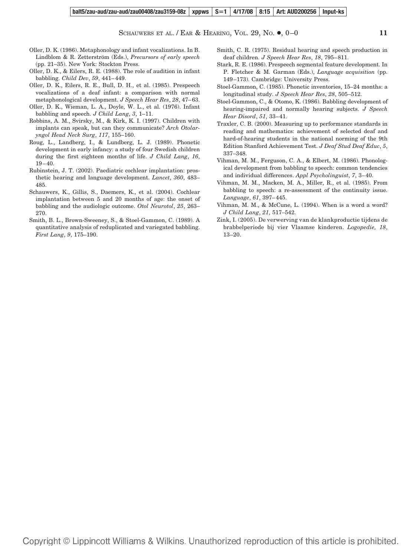- Oller, D. K. (1986). Metaphonology and infant vocalizations. In B. Lindblom & R. Zetterström (Eds.), *Precursors of early speech* (pp. 21–35). New York: Stockton Press.
- Oller, D. K., & Eilers, R. E. (1988). The role of audition in infant babbling. *Child Dev*, *59*, 441– 449.
- Oller, D. K., Eilers, R. E., Bull, D. H., et al. (1985). Prespeech vocalizations of a deaf infant: a comparison with normal metaphonological development. *J Speech Hear Res*, *28*, 47– 63.
- Oller, D. K., Wieman, L. A., Doyle, W. L., et al. (1976). Infant babbling and speech. *J Child Lang*, *3*, 1–11.
- Robbins, A. M., Svirsky, M., & Kirk, K. I. (1997). Children with implants can speak, but can they communicate? *Arch Otolaryngol Head Neck Surg*, *117*, 155–160.
- Roug, L., Landberg, I., & Lundberg, L. J. (1989). Phonetic development in early infancy: a study of four Swedish children during the first eighteen months of life. *J Child Lang*, *16*,  $19 - 40.$
- Rubinstein, J. T. (2002). Paediatric cochlear implantation: prosthetic hearing and language development. *Lancet*, *360*, 483– 485.
- Schauwers, K., Gillis, S., Daemers, K., et al. (2004). Cochlear implantation between 5 and 20 months of age: the onset of babbling and the audiologic outcome. *Otol Neurotol*, *25*, 263– 270.
- Smith, B. L., Brown-Sweeney, S., & Stoel-Gammon, C. (1989). A quantitative analysis of reduplicated and variegated babbling. *First Lang*, *9*, 175–190.
- Smith, C. R. (1975). Residual hearing and speech production in deaf children. *J Speech Hear Res*, *18*, 795– 811.
- Stark, R. E. (1986). Prespeech segmental feature development. In P. Fletcher & M. Garman (Eds.), *Language acquisition* (pp. 149 –173). Cambridge: University Press.
- Stoel-Gammon, C. (1985). Phonetic inventories, 15–24 months: a longitudinal study. *J Speech Hear Res*, *28*, 505–512.
- Stoel-Gammon, C., & Otomo, K. (1986). Babbling development of hearing-impaired and normally hearing subjects. *J Speech Hear Disord*, *51*, 33– 41.
- Traxler, C. B. (2000). Measuring up to performance standards in reading and mathematics: achievement of selected deaf and hard-of-hearing students in the national norming of the 9th Edition Stanford Achievement Test. *J Deaf Stud Deaf Educ*, *5*, 337–348.
- Vihman, M. M., Ferguson, C. A., & Elbert, M. (1986). Phonological development from babbling to speech: common tendencies and individual differences. *Appl Psycholinguist*, *7*, 3– 40.
- Vihman, M. M., Macken, M. A., Miller, R., et al. (1985). From babbling to speech: a re-assessment of the continuity issue. *Language*, *61*, 397– 445.
- Vihman, M. M., & McCune, L. (1994). When is a word a word? *J Child Lang*, *21*, 517–542.
- Zink, I. (2005). De verwerving van de klankproductie tijdens de brabbelperiode bij vier Vlaamse kinderen. *Logopedie, 18*, 13–20.